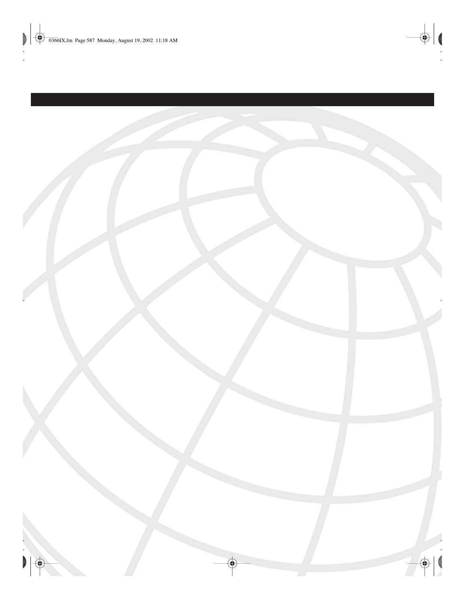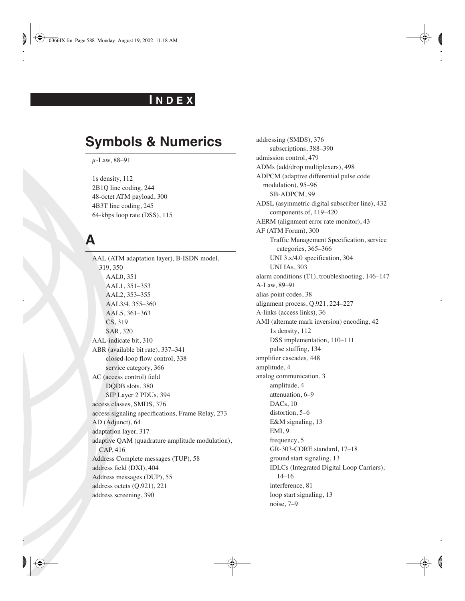#### **I N D E X**

#### **Symbols & Numerics**

µ-Law, 88–91

1s density, 112 2B1Q line coding, 244 48-octet ATM payload, 300 4B3T line coding, 245 64-kbps loop rate (DSS), 115

## **A**

AAL (ATM adaptation layer), B-ISDN model, 319, 350 AAL0, 351 AAL1, 351–353 AAL2, 353–355 AAL3/4, 355–360 AAL5, 361–363 CS, 319 SAR, 320 AAL-indicate bit, 310 ABR (available bit rate), 337–341 closed-loop flow control, 338 service category, 366 AC (access control) field DQDB slots, 380 SIP Layer 2 PDUs, 394 access classes, SMDS, 376 access signaling specifications, Frame Relay, 273 AD (Adjunct), 64 adaptation layer, 317 adaptive QAM (quadrature amplitude modulation), CAP, 416 Address Complete messages (TUP), 58 address field (DXI), 404 Address messages (DUP), 55 address octets (Q.921), 221 address screening, 390

addressing (SMDS), 376 subscriptions, 388–390 admission control, 479 ADMs (add/drop multiplexers), 498 ADPCM (adaptive differential pulse code modulation), 95–96 SB-ADPCM, 99 ADSL (asymmetric digital subscriber line), 432 components of, 419–420 AERM (alignment error rate monitor), 43 AF (ATM Forum), 300 Traffic Management Specification, service categories, 365–366 UNI 3.x/4.0 specification, 304 UNI IAs, 303 alarm conditions (T1), troubleshooting, 146–147 A-Law, 89–91 alias point codes, 38 alignment process, Q.921, 224–227 A-links (access links), 36 AMI (alternate mark inversion) encoding, 42 1s density, 112 DSS implementation, 110–111 pulse stuffing, 134 amplifier cascades, 448 amplitude, 4 analog communication, 3 amplitude, 4 attenuation, 6–9 DACs, 10 distortion, 5–6 E&M signaling, 13 EMI, 9 frequency, 5 GR-303-CORE standard, 17–18 ground start signaling, 13 IDLCs (Integrated Digital Loop Carriers), 14–16 interference, 81 loop start signaling, 13 noise, 7–9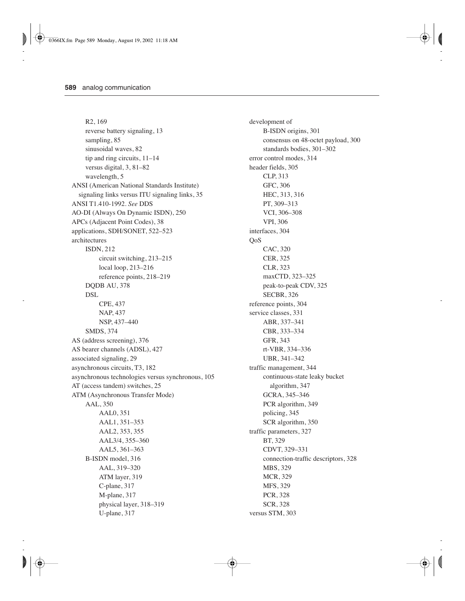R2, 169 reverse battery signaling, 13 sampling, 85 sinusoidal waves, 82 tip and ring circuits, 11–14 versus digital, 3, 81–82 wavelength, 5 ANSI (American National Standards Institute) signaling links versus ITU signaling links, 35 ANSI T1.410-1992. *See* DDS AO-DI (Always On Dynamic ISDN), 250 APCs (Adjacent Point Codes), 38 applications, SDH/SONET, 522–523 architectures ISDN, 212 circuit switching, 213–215 local loop, 213–216 reference points, 218–219 DQDB AU, 378 DSL CPE, 437 NAP, 437 NSP, 437–440 SMDS, 374 AS (address screening), 376 AS bearer channels (ADSL), 427 associated signaling, 29 asynchronous circuits, T3, 182 asynchronous technologies versus synchronous, 105 AT (access tandem) switches, 25 ATM (Asynchronous Transfer Mode) AAL, 350 AAL0, 351 AAL1, 351–353 AAL2, 353, 355 AAL3/4, 355–360 AAL5, 361–363 B-ISDN model, 316 AAL, 319–320 ATM layer, 319 C-plane, 317 M-plane, 317 physical layer, 318–319 U-plane, 317

development of B-ISDN origins, 301 consensus on 48-octet payload, 300 standards bodies, 301–302 error control modes, 314 header fields, 305 CLP, 313 GFC, 306 HEC, 313, 316 PT, 309–313 VCI, 306–308 VPI, 306 interfaces, 304 QoS CAC, 320 CER, 325 CLR, 323 maxCTD, 323–325 peak-to-peak CDV, 325 SECBR, 326 reference points, 304 service classes, 331 ABR, 337–341 CBR, 333–334 GFR, 343 rt-VBR, 334–336 UBR, 341–342 traffic management, 344 continuous-state leaky bucket algorithm, 347 GCRA, 345–346 PCR algorithm, 349 policing, 345 SCR algorithm, 350 traffic parameters, 327 BT, 329 CDVT, 329–331 connection-traffic descriptors, 328 MBS, 329 MCR, 329 MFS, 329 PCR, 328 SCR, 328 versus STM, 303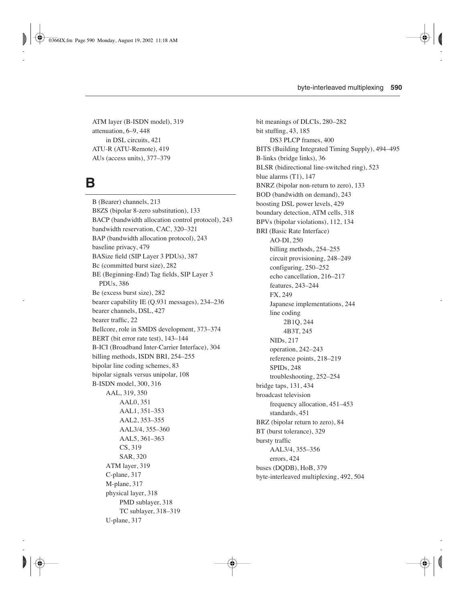ATM layer (B-ISDN model), 319 attenuation, 6–9, 448 in DSL circuits, 421 ATU-R (ATU-Remote), 419 AUs (access units), 377–379

# **B**

B (Bearer) channels, 213 B8ZS (bipolar 8-zero substitution), 133 BACP (bandwidth allocation control protocol), 243 bandwidth reservation, CAC, 320–321 BAP (bandwidth allocation protocol), 243 baseline privacy, 479 BASize field (SIP Layer 3 PDUs), 387 Bc (committed burst size), 282 BE (Beginning-End) Tag fields, SIP Layer 3 PDUs, 386 Be (excess burst size), 282 bearer capability IE (Q.931 messages), 234–236 bearer channels, DSL, 427 bearer traffic, 22 Bellcore, role in SMDS development, 373–374 BERT (bit error rate test), 143–144 B-ICI (Broadband Inter-Carrier Interface), 304 billing methods, ISDN BRI, 254–255 bipolar line coding schemes, 83 bipolar signals versus unipolar, 108 B-ISDN model, 300, 316 AAL, 319, 350 AAL0, 351 AAL1, 351–353 AAL2, 353–355 AAL3/4, 355–360 AAL5, 361–363 CS, 319 SAR, 320 ATM layer, 319 C-plane, 317 M-plane, 317 physical layer, 318 PMD sublayer, 318 TC sublayer, 318–319 U-plane, 317

bit meanings of DLCIs, 280–282 bit stuffing, 43, 185 DS3 PLCP frames, 400 BITS (Building Integrated Timing Supply), 494–495 B-links (bridge links), 36 BLSR (bidirectional line-switched ring), 523 blue alarms (T1), 147 BNRZ (bipolar non-return to zero), 133 BOD (bandwidth on demand), 243 boosting DSL power levels, 429 boundary detection, ATM cells, 318 BPVs (bipolar violations), 112, 134 BRI (Basic Rate Interface) AO-DI, 250 billing methods, 254–255 circuit provisioning, 248–249 configuring, 250–252 echo cancellation, 216–217 features, 243–244 FX, 249 Japanese implementations, 244 line coding 2B1Q, 244 4B3T, 245 NIDs, 217 operation, 242–243 reference points, 218–219 SPIDs, 248 troubleshooting, 252–254 bridge taps, 131, 434 broadcast television frequency allocation, 451–453 standards, 451 BRZ (bipolar return to zero), 84 BT (burst tolerance), 329 bursty traffic AAL3/4, 355–356 errors, 424 buses (DQDB), HoB, 379 byte-interleaved multiplexing, 492, 504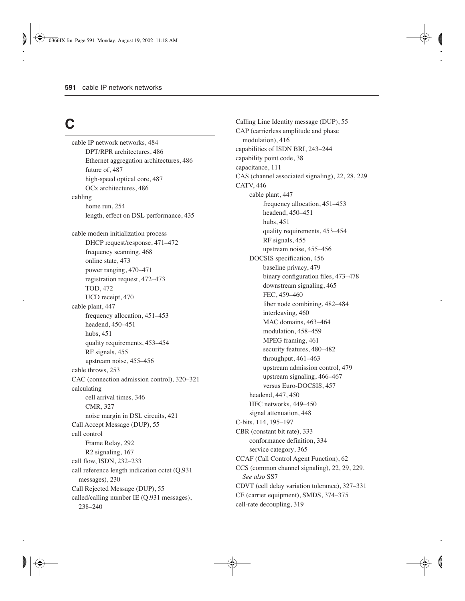## **C**

cable IP network networks, 484 DPT/RPR architectures, 486 Ethernet aggregation architectures, 486 future of, 487 high-speed optical core, 487 OCx architectures, 486 cabling home run, 254 length, effect on DSL performance, 435 cable modem initialization process DHCP request/response, 471–472 frequency scanning, 468 online state, 473 power ranging, 470–471 registration request, 472–473 TOD, 472 UCD receipt, 470 cable plant, 447 frequency allocation, 451–453 headend, 450–451 hubs, 451 quality requirements, 453–454 RF signals, 455 upstream noise, 455–456 cable throws, 253 CAC (connection admission control), 320–321 calculating cell arrival times, 346 CMR, 327 noise margin in DSL circuits, 421 Call Accept Message (DUP), 55 call control Frame Relay, 292 R2 signaling, 167 call flow, ISDN, 232–233 call reference length indication octet (Q.931 messages), 230 Call Rejected Message (DUP), 55 called/calling number IE (Q.931 messages), 238–240

Calling Line Identity message (DUP), 55 CAP (carrierless amplitude and phase modulation), 416 capabilities of ISDN BRI, 243–244 capability point code, 38 capacitance, 111 CAS (channel associated signaling), 22, 28, 229 CATV, 446 cable plant, 447 frequency allocation, 451–453 headend, 450–451 hubs, 451 quality requirements, 453–454 RF signals, 455 upstream noise, 455–456 DOCSIS specification, 456 baseline privacy, 479 binary configuration files, 473–478 downstream signaling, 465 FEC, 459–460 fiber node combining, 482–484 interleaving, 460 MAC domains, 463–464 modulation, 458–459 MPEG framing, 461 security features, 480–482 throughput, 461–463 upstream admission control, 479 upstream signaling, 466–467 versus Euro-DOCSIS, 457 headend, 447, 450 HFC networks, 449–450 signal attenuation, 448 C-bits, 114, 195–197 CBR (constant bit rate), 333 conformance definition, 334 service category, 365 CCAF (Call Control Agent Function), 62 CCS (common channel signaling), 22, 29, 229. *See also* SS7 CDVT (cell delay variation tolerance), 327–331 CE (carrier equipment), SMDS, 374–375 cell-rate decoupling, 319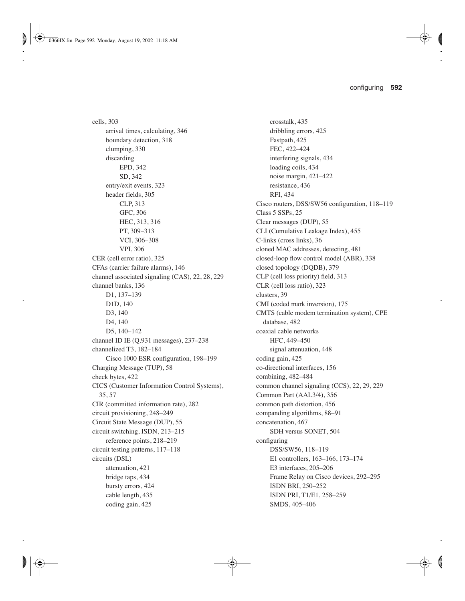cells, 303 arrival times, calculating, 346 boundary detection, 318 clumping, 330 discarding EPD, 342 SD, 342 entry/exit events, 323 header fields, 305 CLP, 313 GFC, 306 HEC, 313, 316 PT, 309–313 VCI, 306–308 VPI, 306 CER (cell error ratio), 325 CFAs (carrier failure alarms), 146 channel associated signaling (CAS), 22, 28, 229 channel banks, 136 D1, 137–139 D1D, 140 D3, 140 D4, 140 D5, 140–142 channel ID IE (Q.931 messages), 237–238 channelized T3, 182–184 Cisco 1000 ESR configuration, 198–199 Charging Message (TUP), 58 check bytes, 422 CICS (Customer Information Control Systems), 35, 57 CIR (committed information rate), 282 circuit provisioning, 248–249 Circuit State Message (DUP), 55 circuit switching, ISDN, 213–215 reference points, 218–219 circuit testing patterns, 117–118 circuits (DSL) attenuation, 421 bridge taps, 434 bursty errors, 424 cable length, 435 coding gain, 425

crosstalk, 435 dribbling errors, 425 Fastpath, 425 FEC, 422–424 interfering signals, 434 loading coils, 434 noise margin, 421–422 resistance, 436 RFI, 434 Cisco routers, DSS/SW56 configuration, 118–119 Class 5 SSPs, 25 Clear messages (DUP), 55 CLI (Cumulative Leakage Index), 455 C-links (cross links), 36 cloned MAC addresses, detecting, 481 closed-loop flow control model (ABR), 338 closed topology (DQDB), 379 CLP (cell loss priority) field, 313 CLR (cell loss ratio), 323 clusters, 39 CMI (coded mark inversion), 175 CMTS (cable modem termination system), CPE database, 482 coaxial cable networks HFC, 449–450 signal attenuation, 448 coding gain, 425 co-directional interfaces, 156 combining, 482–484 common channel signaling (CCS), 22, 29, 229 Common Part (AAL3/4), 356 common path distortion, 456 companding algorithms, 88–91 concatenation, 467 SDH versus SONET, 504 configuring DSS/SW56, 118–119 E1 controllers, 163–166, 173–174 E3 interfaces, 205–206 Frame Relay on Cisco devices, 292–295 ISDN BRI, 250–252 ISDN PRI, T1/E1, 258–259 SMDS, 405–406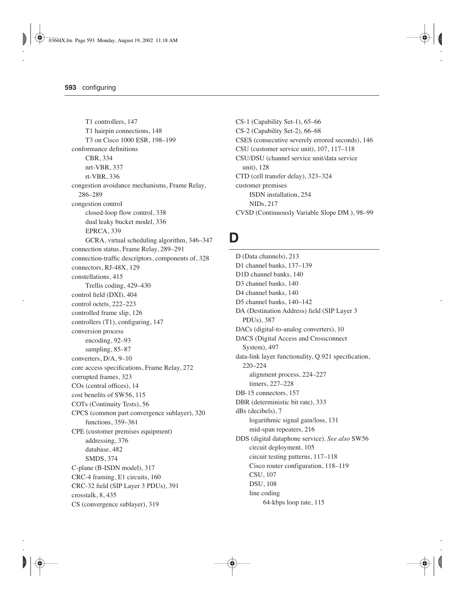T1 controllers, 147 T1 hairpin connections, 148 T3 on Cisco 1000 ESR, 198–199 conformance definitions CBR, 334 nrt-VBR, 337 rt-VBR, 336 congestion avoidance mechanisms, Frame Relay, 286–289 congestion control closed-loop flow control, 338 dual leaky bucket model, 336 EPRCA, 339 GCRA, virtual scheduling algorithm, 346–347 connection status, Frame Relay, 289–291 connection-traffic descriptors, components of, 328 connectors, RJ-48X, 129 constellations, 415 Trellis coding, 429–430 control field (DXI), 404 control octets, 222–223 controlled frame slip, 126 controllers (T1), configuring, 147 conversion process encoding, 92–93 sampling, 85–87 converters, D/A, 9–10 core access specifications, Frame Relay, 272 corrupted frames, 323 COs (central offices), 14 cost benefits of SW56, 115 COTs (Continuity Tests), 56 CPCS (common part convergence sublayer), 320 functions, 359–361 CPE (customer premises equipment) addressing, 376 database, 482 SMDS, 374 C-plane (B-ISDN model), 317 CRC-4 framing, E1 circuits, 160 CRC-32 field (SIP Layer 3 PDUs), 391 crosstalk, 8, 435 CS (convergence sublayer), 319

CS-1 (Capability Set-1), 65–66 CS-2 (Capability Set-2), 66–68 CSES (consecutive severely errored seconds), 146 CSU (customer service unit), 107, 117–118 CSU/DSU (channel service unit/data service unit), 128 CTD (cell transfer delay), 323–324 customer premises ISDN installation, 254 NIDs, 217 CVSD (Continuously Variable Slope DM ), 98–99

#### **D**

D (Data channels), 213 D1 channel banks, 137–139 D1D channel banks, 140 D3 channel banks, 140 D4 channel banks, 140 D5 channel banks, 140–142 DA (Destination Address) field (SIP Layer 3 PDUs), 387 DACs (digital-to-analog converters), 10 DACS (Digital Access and Crossconnect System), 497 data-link layer functionality, Q.921 specification, 220–224 alignment process, 224–227 timers, 227–228 DB-15 connectors, 157 DBR (deterministic bit rate), 333 dBs (decibels), 7 logarithmic signal gain/loss, 131 mid-span repeaters, 216 DDS (digital dataphone service). *See also* SW56 circuit deployment, 105 circuit testing patterns, 117–118 Cisco router configuration, 118–119 CSU, 107 DSU, 108 line coding 64-kbps loop rate, 115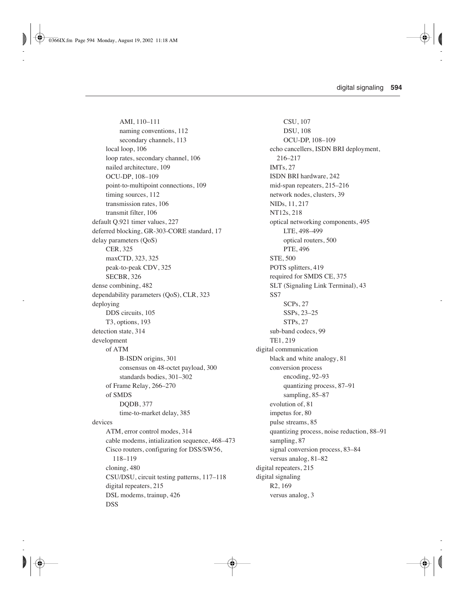AMI, 110–111 naming conventions, 112 secondary channels, 113 local loop, 106 loop rates, secondary channel, 106 nailed architecture, 109 OCU-DP, 108–109 point-to-multipoint connections, 109 timing sources, 112 transmission rates, 106 transmit filter, 106 default Q.921 timer values, 227 deferred blocking, GR-303-CORE standard, 17 delay parameters (QoS) CER, 325 maxCTD, 323, 325 peak-to-peak CDV, 325 SECBR, 326 dense combining, 482 dependability parameters (QoS), CLR, 323 deploying DDS circuits, 105 T3, options, 193 detection state, 314 development of ATM B-ISDN origins, 301 consensus on 48-octet payload, 300 standards bodies, 301–302 of Frame Relay, 266–270 of SMDS DQDB, 377 time-to-market delay, 385 devices ATM, error control modes, 314 cable modems, intialization sequence, 468–473 Cisco routers, configuring for DSS/SW56, 118–119 cloning, 480 CSU/DSU, circuit testing patterns, 117–118 digital repeaters, 215 DSL modems, trainup, 426 DSS

CSU, 107 DSU, 108 OCU-DP, 108–109 echo cancellers, ISDN BRI deployment, 216–217 IMTs, 27 ISDN BRI hardware, 242 mid-span repeaters, 215–216 network nodes, clusters, 39 NIDs, 11, 217 NT12s, 218 optical networking components, 495 LTE, 498–499 optical routers, 500 PTE, 496 STE, 500 POTS splitters, 419 required for SMDS CE, 375 SLT (Signaling Link Terminal), 43 SS7 SCPs, 27 SSPs, 23–25 STPs, 27 sub-band codecs, 99 TE1, 219 digital communication black and white analogy, 81 conversion process encoding, 92–93 quantizing process, 87–91 sampling, 85–87 evolution of, 81 impetus for, 80 pulse streams, 85 quantizing process, noise reduction, 88–91 sampling, 87 signal conversion process, 83–84 versus analog, 81–82 digital repeaters, 215 digital signaling R2, 169 versus analog, 3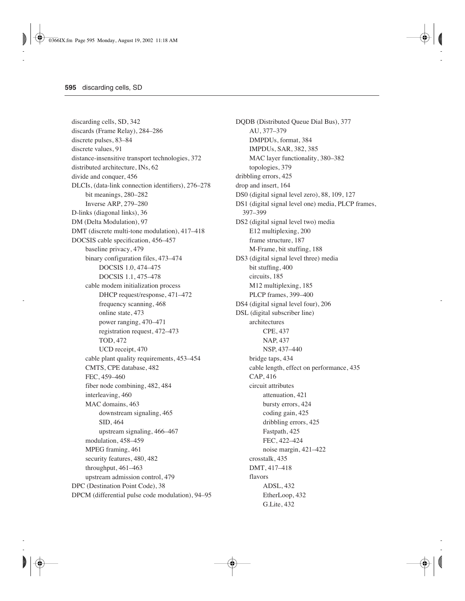discarding cells, SD, 342 discards (Frame Relay), 284–286 discrete pulses, 83–84 discrete values, 91 distance-insensitive transport technologies, 372 distributed architecture, INs, 62 divide and conquer, 456 DLCIs, (data-link connection identifiers), 276–278 bit meanings, 280–282 Inverse ARP, 279–280 D-links (diagonal links), 36 DM (Delta Modulation), 97 DMT (discrete multi-tone modulation), 417–418 DOCSIS cable specification, 456–457 baseline privacy, 479 binary configuration files, 473–474 DOCSIS 1.0, 474–475 DOCSIS 1.1, 475–478 cable modem initialization process DHCP request/response, 471–472 frequency scanning, 468 online state, 473 power ranging, 470–471 registration request, 472–473 TOD, 472 UCD receipt, 470 cable plant quality requirements, 453–454 CMTS, CPE database, 482 FEC, 459–460 fiber node combining, 482, 484 interleaving, 460 MAC domains, 463 downstream signaling, 465 SID, 464 upstream signaling, 466–467 modulation, 458–459 MPEG framing, 461 security features, 480, 482 throughput, 461–463 upstream admission control, 479 DPC (Destination Point Code), 38 DPCM (differential pulse code modulation), 94–95

DQDB (Distributed Queue Dial Bus), 377 AU, 377–379 DMPDUs, format, 384 IMPDUs, SAR, 382, 385 MAC layer functionality, 380–382 topologies, 379 dribbling errors, 425 drop and insert, 164 DS0 (digital signal level zero), 88, 109, 127 DS1 (digital signal level one) media, PLCP frames, 397–399 DS2 (digital signal level two) media E12 multiplexing, 200 frame structure, 187 M-Frame, bit stuffing, 188 DS3 (digital signal level three) media bit stuffing, 400 circuits, 185 M12 multiplexing, 185 PLCP frames, 399–400 DS4 (digital signal level four), 206 DSL (digital subscriber line) architectures CPE, 437 NAP, 437 NSP, 437–440 bridge taps, 434 cable length, effect on performance, 435 CAP, 416 circuit attributes attenuation, 421 bursty errors, 424 coding gain, 425 dribbling errors, 425 Fastpath, 425 FEC, 422–424 noise margin, 421–422 crosstalk, 435 DMT, 417–418 flavors ADSL, 432 EtherLoop, 432 G.Lite, 432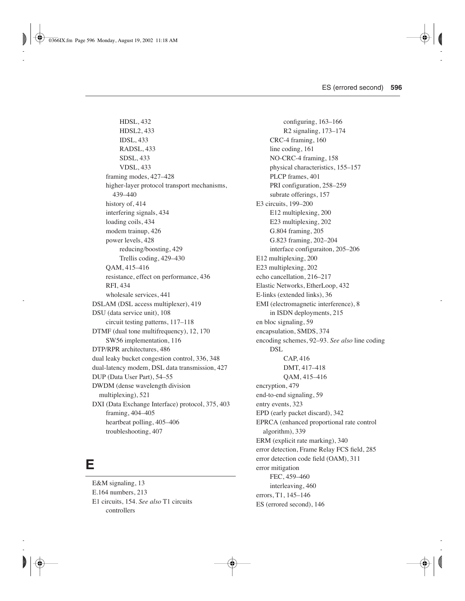HDSL, 432 HDSL2, 433 IDSL, 433 RADSL, 433 SDSL, 433 VDSL, 433 framing modes, 427–428 higher-layer protocol transport mechanisms, 439–440 history of, 414 interfering signals, 434 loading coils, 434 modem trainup, 426 power levels, 428 reducing/boosting, 429 Trellis coding, 429–430 QAM, 415–416 resistance, effect on performance, 436 RFI, 434 wholesale services, 441 DSLAM (DSL access multiplexer), 419 DSU (data service unit), 108 circuit testing patterns, 117–118 DTMF (dual tone multifrequency), 12, 170 SW56 implementation, 116 DTP/RPR architectures, 486 dual leaky bucket congestion control, 336, 348 dual-latency modem, DSL data transmission, 427 DUP (Data User Part), 54–55 DWDM (dense wavelength division multiplexing), 521 DXI (Data Exchange Interface) protocol, 375, 403 framing, 404–405 heartbeat polling, 405–406 troubleshooting, 407

#### **E**

E&M signaling, 13 E.164 numbers, 213 E1 circuits, 154. *See also* T1 circuits controllers

configuring, 163–166 R2 signaling, 173–174 CRC-4 framing, 160 line coding, 161 NO-CRC-4 framing, 158 physical characteristics, 155–157 PLCP frames, 401 PRI configuration, 258–259 subrate offerings, 157 E3 circuits, 199–200 E12 multiplexing, 200 E23 multiplexing, 202 G.804 framing, 205 G.823 framing, 202–204 interface configuraiton, 205–206 E12 multiplexing, 200 E23 multiplexing, 202 echo cancellation, 216–217 Elastic Networks, EtherLoop, 432 E-links (extended links), 36 EMI (electromagnetic interference), 8 in ISDN deployments, 215 en bloc signaling, 59 encapsulation, SMDS, 374 encoding schemes, 92–93. *See also* line coding DSL CAP, 416 DMT, 417–418 QAM, 415–416 encryption, 479 end-to-end signaling, 59 entry events, 323 EPD (early packet discard), 342 EPRCA (enhanced proportional rate control algorithm), 339 ERM (explicit rate marking), 340 error detection, Frame Relay FCS field, 285 error detection code field (OAM), 311 error mitigation FEC, 459–460 interleaving, 460 errors, T1, 145–146 ES (errored second), 146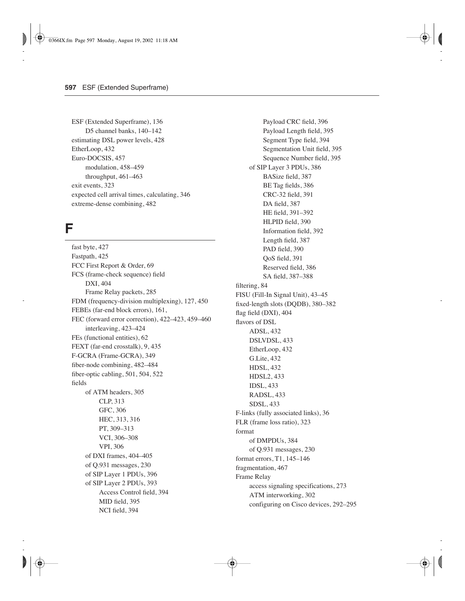ESF (Extended Superframe), 136 D5 channel banks, 140–142 estimating DSL power levels, 428 EtherLoop, 432 Euro-DOCSIS, 457 modulation, 458–459 throughput, 461–463 exit events, 323 expected cell arrival times, calculating, 346 extreme-dense combining, 482

#### **F**

fast byte, 427 Fastpath, 425 FCC First Report & Order, 69 FCS (frame-check sequence) field DXI, 404 Frame Relay packets, 285 FDM (frequency-division multiplexing), 127, 450 FEBEs (far-end block errors), 161, FEC (forward error correction), 422–423, 459–460 interleaving, 423–424 FEs (functional entities), 62 FEXT (far-end crosstalk), 9, 435 F-GCRA (Frame-GCRA), 349 fiber-node combining, 482–484 fiber-optic cabling, 501, 504, 522 fields of ATM headers, 305 CLP, 313 GFC, 306 HEC, 313, 316 PT, 309–313 VCI, 306–308 VPI, 306 of DXI frames, 404–405 of Q.931 messages, 230 of SIP Layer 1 PDUs, 396 of SIP Layer 2 PDUs, 393 Access Control field, 394 MID field, 395 NCI field, 394

Payload CRC field, 396 Payload Length field, 395 Segment Type field, 394 Segmentation Unit field, 395 Sequence Number field, 395 of SIP Layer 3 PDUs, 386 BASize field, 387 BE Tag fields, 386 CRC-32 field, 391 DA field, 387 HE field, 391–392 HLPID field, 390 Information field, 392 Length field, 387 PAD field, 390 QoS field, 391 Reserved field, 386 SA field, 387–388 filtering, 84 FISU (Fill-In Signal Unit), 43–45 fixed-length slots (DQDB), 380–382 flag field (DXI), 404 flavors of DSL ADSL, 432 DSLVDSL, 433 EtherLoop, 432 G.Lite, 432 HDSL, 432 HDSL2, 433 IDSL, 433 RADSL, 433 SDSL, 433 F-links (fully associated links), 36 FLR (frame loss ratio), 323 format of DMPDUs, 384 of Q.931 messages, 230 format errors, T1, 145–146 fragmentation, 467 Frame Relay access signaling specifications, 273 ATM interworking, 302 configuring on Cisco devices, 292–295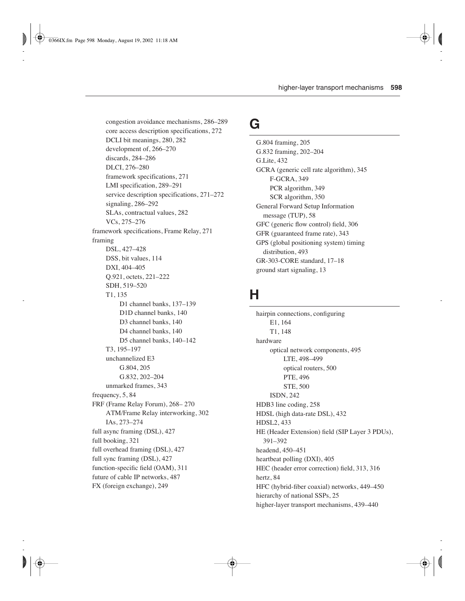congestion avoidance mechanisms, 286–289 core access description specifications, 272 DCLI bit meanings, 280, 282 development of, 266–270 discards, 284–286 DLCI, 276–280 framework specifications, 271 LMI specification, 289–291 service description specifications, 271–272 signaling, 286–292 SLAs, contractual values, 282 VCs, 275–276 framework specifications, Frame Relay, 271 framing DSL, 427–428 DSS, bit values, 114 DXI, 404–405 Q.921, octets, 221–222 SDH, 519–520 T1, 135 D1 channel banks, 137–139 D1D channel banks, 140 D3 channel banks, 140 D4 channel banks, 140 D5 channel banks, 140–142 T3, 195–197 unchannelized E3 G.804, 205 G.832, 202–204 unmarked frames, 343 frequency, 5, 84 FRF (Frame Relay Forum), 268– 270 ATM/Frame Relay interworking, 302 IAs, 273–274 full async framing (DSL), 427 full booking, 321 full overhead framing (DSL), 427 full sync framing (DSL), 427 function-specific field (OAM), 311 future of cable IP networks, 487 FX (foreign exchange), 249

#### **G**

G.804 framing, 205 G.832 framing, 202–204 G.Lite, 432 GCRA (generic cell rate algorithm), 345 F-GCRA, 349 PCR algorithm, 349 SCR algorithm, 350 General Forward Setup Information message (TUP), 58 GFC (generic flow control) field, 306 GFR (guaranteed frame rate), 343 GPS (global positioning system) timing distribution, 493 GR-303-CORE standard, 17–18 ground start signaling, 13

#### **H**

hairpin connections, configuring E1, 164 T1, 148 hardware optical network components, 495 LTE, 498–499 optical routers, 500 PTE, 496 STE, 500 ISDN, 242 HDB3 line coding, 258 HDSL (high data-rate DSL), 432 HDSL2, 433 HE (Header Extension) field (SIP Layer 3 PDUs), 391–392 headend, 450–451 heartbeat polling (DXI), 405 HEC (header error correction) field, 313, 316 hertz, 84 HFC (hybrid-fiber coaxial) networks, 449–450 hierarchy of national SSPs, 25 higher-layer transport mechanisms, 439–440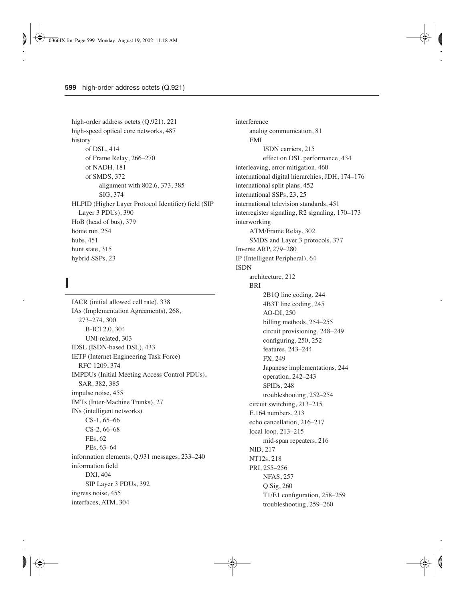high-order address octets (Q.921), 221 high-speed optical core networks, 487 history of DSL, 414 of Frame Relay, 266–270 of NADH, 181 of SMDS, 372 alignment with 802.6, 373, 385 SIG, 374 HLPID (Higher Layer Protocol Identifier) field (SIP Layer 3 PDUs), 390 HoB (head of bus), 379 home run, 254 hubs, 451 hunt state, 315 hybrid SSPs, 23

**I**

IACR (initial allowed cell rate), 338 IAs (Implementation Agreements), 268, 273–274, 300 B-ICI 2.0, 304 UNI-related, 303 IDSL (ISDN-based DSL), 433 IETF (Internet Engineering Task Force) RFC 1209, 374 IMPDUs (Initial Meeting Access Control PDUs), SAR, 382, 385 impulse noise, 455 IMTs (Inter-Machine Trunks), 27 INs (intelligent networks) CS-1, 65–66 CS-2, 66–68 FEs, 62 PEs, 63–64 information elements, Q.931 messages, 233–240 information field DXI, 404 SIP Layer 3 PDUs, 392 ingress noise, 455 interfaces, ATM, 304

interference analog communication, 81 EMI ISDN carriers, 215 effect on DSL performance, 434 interleaving, error mitigation, 460 international digital hierarchies, JDH, 174–176 international split plans, 452 international SSPs, 23, 25 international television standards, 451 interregister signaling, R2 signaling, 170–173 interworking ATM/Frame Relay, 302 SMDS and Layer 3 protocols, 377 Inverse ARP, 279–280 IP (Intelligent Peripheral), 64 ISDN architecture, 212 BRI 2B1Q line coding, 244 4B3T line coding, 245 AO-DI, 250 billing methods, 254–255 circuit provisioning, 248–249 configuring, 250, 252 features, 243–244 FX, 249 Japanese implementations, 244 operation, 242–243 SPIDs, 248 troubleshooting, 252–254 circuit switching, 213–215 E.164 numbers, 213 echo cancellation, 216–217 local loop, 213–215 mid-span repeaters, 216 NID, 217 NT12s, 218 PRI, 255–256 NFAS, 257 Q.Sig, 260 T1/E1 configuration, 258–259 troubleshooting, 259–260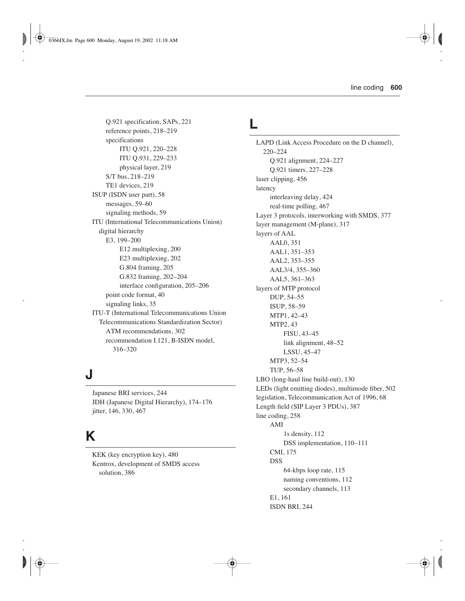Q.921 specification, SAPs, 221 reference points, 218–219 specifications ITU Q.921, 220–228 ITU Q.931, 229–233 physical layer, 219 S/T bus, 218–219 TE1 devices, 219 ISUP (ISDN user part), 58 messages, 59–60 signaling methods, 59 ITU (International Telecommunications Union) digital hierarchy E3, 199–200 E12 multiplexing, 200 E23 multiplexing, 202 G.804 framing, 205 G.832 framing, 202–204 interface configuration, 205–206 point code format, 40 signaling links, 35 ITU-T (International Telecommunications Union Telecommunications Standardization Sector) ATM recommendations, 302 recommendation I.121, B-ISDN model, 316–320

## **J**

Japanese BRI services, 244 JDH (Japanese Digital Hierarchy), 174–176 jitter, 146, 330, 467

# **K**

KEK (key encryption key), 480 Kentrox, development of SMDS access solution, 386

#### **L**

LAPD (Link Access Procedure on the D channel), 220–224 Q.921 alignment, 224–227 Q.921 timers, 227–228 laser clipping, 456 latency interleaving delay, 424 real-time polling, 467 Layer 3 protocols, interworking with SMDS, 377 layer management (M-plane), 317 layers of AAL AAL0, 351 AAL1, 351–353 AAL2, 353–355 AAL3/4, 355–360 AAL5, 361–363 layers of MTP protocol DUP, 54–55 ISUP, 58–59 MTP1, 42–43 MTP2, 43 FISU, 43–45 link alignment, 48–52 LSSU, 45–47 MTP3, 52–54 TUP, 56–58 LBO (long-haul line build-out), 130 LEDs (light emitting diodes), multimode fiber, 502 legislation, Telecommunication Act of 1996, 68 Length field (SIP Layer 3 PDUs), 387 line coding, 258 AMI 1s density, 112 DSS implementation, 110–111 CMI, 175 DSS 64-kbps loop rate, 115 naming conventions, 112 secondary channels, 113 E1, 161 ISDN BRI, 244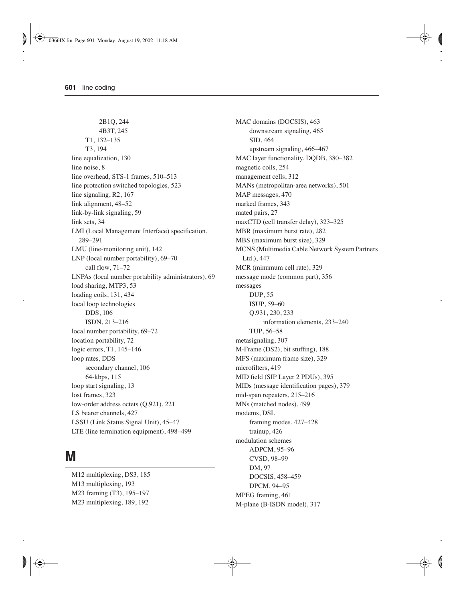2B1Q, 244 4B3T, 245 T1, 132–135 T3, 194 line equalization, 130 line noise, 8 line overhead, STS-1 frames, 510–513 line protection switched topologies, 523 line signaling, R2, 167 link alignment, 48–52 link-by-link signaling, 59 link sets, 34 LMI (Local Management Interface) specification, 289–291 LMU (line-monitoring unit), 142 LNP (local number portability), 69–70 call flow, 71–72 LNPAs (local number portability administrators), 69 load sharing, MTP3, 53 loading coils, 131, 434 local loop technologies DDS, 106 ISDN, 213–216 local number portability, 69–72 location portability, 72 logic errors, T1, 145–146 loop rates, DDS secondary channel, 106 64-kbps, 115 loop start signaling, 13 lost frames, 323 low-order address octets (Q.921), 221 LS bearer channels, 427 LSSU (Link Status Signal Unit), 45–47 LTE (line termination equipment), 498–499

#### **M**

M12 multiplexing, DS3, 185 M13 multiplexing, 193 M23 framing (T3), 195–197 M23 multiplexing, 189, 192

MAC domains (DOCSIS), 463 downstream signaling, 465 SID, 464 upstream signaling, 466–467 MAC layer functionality, DQDB, 380–382 magnetic coils, 254 management cells, 312 MANs (metropolitan-area networks), 501 MAP messages, 470 marked frames, 343 mated pairs, 27 maxCTD (cell transfer delay), 323–325 MBR (maximum burst rate), 282 MBS (maximum burst size), 329 MCNS (Multimedia Cable Network System Partners Ltd.), 447 MCR (minumum cell rate), 329 message mode (common part), 356 messages DUP, 55 ISUP, 59–60 Q.931, 230, 233 information elements, 233–240 TUP, 56–58 metasignaling, 307 M-Frame (DS2), bit stuffing), 188 MFS (maximum frame size), 329 microfilters, 419 MID field (SIP Layer 2 PDUs), 395 MIDs (message identification pages), 379 mid-span repeaters, 215–216 MNs (matched nodes), 499 modems, DSL framing modes, 427–428 trainup, 426 modulation schemes ADPCM, 95–96 CVSD, 98–99 DM, 97 DOCSIS, 458–459 DPCM, 94–95 MPEG framing, 461 M-plane (B-ISDN model), 317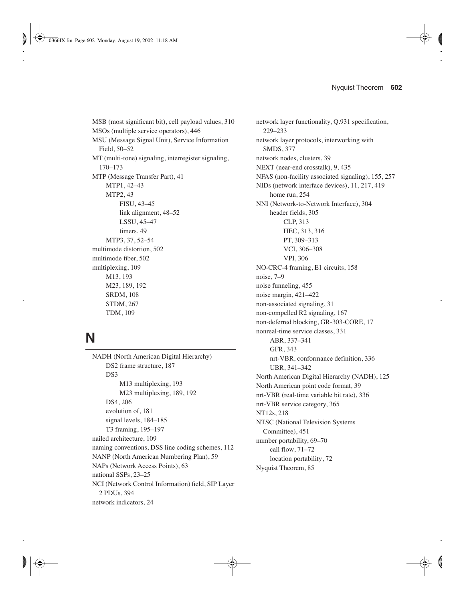MSB (most significant bit), cell payload values, 310 MSOs (multiple service operators), 446 MSU (Message Signal Unit), Service Information Field, 50–52 MT (multi-tone) signaling, interregister signaling, 170–173 MTP (Message Transfer Part), 41 MTP1, 42–43 MTP2, 43 FISU, 43–45 link alignment, 48–52 LSSU, 45–47 timers, 49 MTP3, 37, 52–54 multimode distortion, 502 multimode fiber, 502 multiplexing, 109 M13, 193 M23, 189, 192 SRDM, 108 STDM, 267 TDM, 109

## **N**

NADH (North American Digital Hierarchy) DS2 frame structure, 187 DS<sub>3</sub> M13 multiplexing, 193 M23 multiplexing, 189, 192 DS4, 206 evolution of, 181 signal levels, 184–185 T3 framing, 195–197 nailed architecture, 109 naming conventions, DSS line coding schemes, 112 NANP (North American Numbering Plan), 59 NAPs (Network Access Points), 63 national SSPs, 23–25 NCI (Network Control Information) field, SIP Layer 2 PDUs, 394 network indicators, 24

network layer functionality, Q.931 specification, 229–233 network layer protocols, interworking with SMDS, 377 network nodes, clusters, 39 NEXT (near-end crosstalk), 9, 435 NFAS (non-facility associated signaling), 155, 257 NIDs (network interface devices), 11, 217, 419 home run, 254 NNI (Network-to-Network Interface), 304 header fields, 305 CLP, 313 HEC, 313, 316 PT, 309–313 VCI, 306–308 VPI, 306 NO-CRC-4 framing, E1 circuits, 158 noise, 7–9 noise funneling, 455 noise margin, 421–422 non-associated signaling, 31 non-compelled R2 signaling, 167 non-deferred blocking, GR-303-CORE, 17 nonreal-time service classes, 331 ABR, 337–341 GFR, 343 nrt-VBR, conformance definition, 336 UBR, 341–342 North American Digital Hierarchy (NADH), 125 North American point code format, 39 nrt-VBR (real-time variable bit rate), 336 nrt-VBR service category, 365 NT12s, 218 NTSC (National Television Systems Committee), 451 number portability, 69–70 call flow, 71–72 location portability, 72 Nyquist Theorem, 85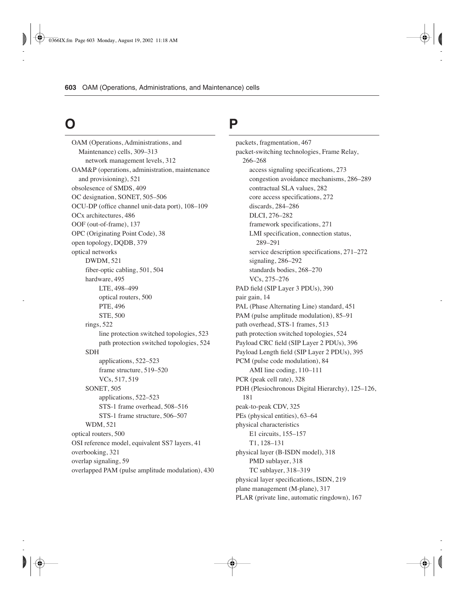### **O**

#### **P**

OAM (Operations, Administrations, and Maintenance) cells, 309–313 network management levels, 312 OAM&P (operations, administration, maintenance and provisioning), 521 obsolesence of SMDS, 409 OC designation, SONET, 505–506 OCU-DP (office channel unit-data port), 108–109 OCx architectures, 486 OOF (out-of-frame), 137 OPC (Originating Point Code), 38 open topology, DQDB, 379 optical networks DWDM, 521 fiber-optic cabling, 501, 504 hardware, 495 LTE, 498–499 optical routers, 500 PTE, 496 STE, 500 rings, 522 line protection switched topologies, 523 path protection switched topologies, 524 SDH applications, 522–523 frame structure, 519–520 VCs, 517, 519 SONET, 505 applications, 522–523 STS-1 frame overhead, 508–516 STS-1 frame structure, 506–507 WDM, 521 optical routers, 500 OSI reference model, equivalent SS7 layers, 41 overbooking, 321 overlap signaling, 59 overlapped PAM (pulse amplitude modulation), 430

packets, fragmentation, 467 packet-switching technologies, Frame Relay, 266–268 access signaling specifications, 273 congestion avoidance mechanisms, 286–289 contractual SLA values, 282 core access specifications, 272 discards, 284–286 DLCI, 276–282 framework specifications, 271 LMI specification, connection status, 289–291 service description specifications, 271–272 signaling, 286–292 standards bodies, 268–270 VCs, 275–276 PAD field (SIP Layer 3 PDUs), 390 pair gain, 14 PAL (Phase Alternating Line) standard, 451 PAM (pulse amplitude modulation), 85–91 path overhead, STS-1 frames, 513 path protection switched topologies, 524 Payload CRC field (SIP Layer 2 PDUs), 396 Payload Length field (SIP Layer 2 PDUs), 395 PCM (pulse code modulation), 84 AMI line coding, 110–111 PCR (peak cell rate), 328 PDH (Plesiochronous Digital Hierarchy), 125–126, 181 peak-to-peak CDV, 325 PEs (physical entities), 63–64 physical characteristics E1 circuits, 155–157 T1, 128–131 physical layer (B-ISDN model), 318 PMD sublayer, 318 TC sublayer, 318–319 physical layer specifications, ISDN, 219 plane management (M-plane), 317 PLAR (private line, automatic ringdown), 167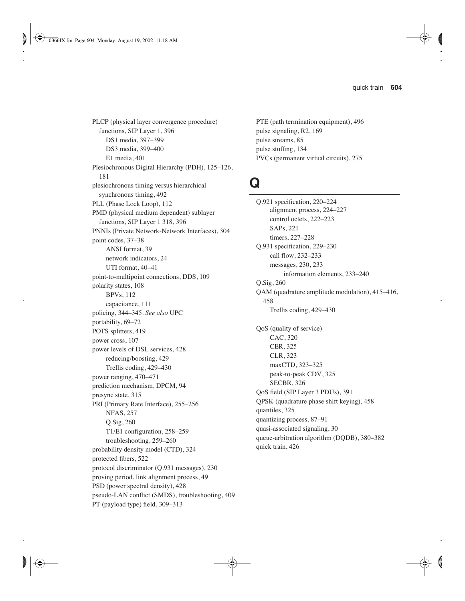PLCP (physical layer convergence procedure) functions, SIP Layer 1, 396 DS1 media, 397–399 DS3 media, 399–400 E1 media, 401 Plesiochronous Digital Hierarchy (PDH), 125–126, 181 plesiochronous timing versus hierarchical synchronous timing, 492 PLL (Phase Lock Loop), 112 PMD (physical medium dependent) sublayer functions, SIP Layer 1 318, 396 PNNIs (Private Network-Network Interfaces), 304 point codes, 37–38 ANSI format, 39 network indicators, 24 UTI format, 40–41 point-to-multipoint connections, DDS, 109 polarity states, 108 BPVs, 112 capacitance, 111 policing, 344–345. *See also* UPC portability, 69–72 POTS splitters, 419 power cross, 107 power levels of DSL services, 428 reducing/boosting, 429 Trellis coding, 429–430 power ranging, 470–471 prediction mechanism, DPCM, 94 presync state, 315 PRI (Primary Rate Interface), 255–256 NFAS, 257 Q.Sig, 260 T1/E1 configuration, 258–259 troubleshooting, 259–260 probability density model (CTD), 324 protected fibers, 522 protocol discriminator (Q.931 messages), 230 proving period, link alignment process, 49 PSD (power spectral density), 428 pseudo-LAN conflict (SMDS), troubleshooting, 409 PT (payload type) field, 309–313

PTE (path termination equipment), 496 pulse signaling, R2, 169 pulse streams, 85 pulse stuffing, 134 PVCs (permanent virtual circuits), 275

#### **Q**

Q.921 specification, 220–224 alignment process, 224–227 control octets, 222–223 SAPs, 221 timers, 227–228 Q.931 specification, 229–230 call flow, 232–233 messages, 230, 233 information elements, 233–240 Q.Sig, 260 QAM (quadrature amplitude modulation), 415–416, 458 Trellis coding, 429–430 QoS (quality of service) CAC, 320 CER, 325 CLR, 323 maxCTD, 323–325 peak-to-peak CDV, 325 SECBR, 326 QoS field (SIP Layer 3 PDUs), 391 QPSK (quadrature phase shift keying), 458 quantiles, 325 quantizing process, 87–91 quasi-associated signaling, 30 queue-arbitration algorithm (DQDB), 380–382 quick train, 426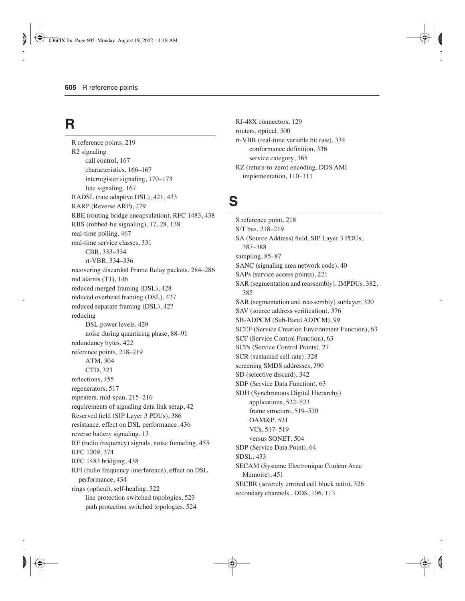## **R**

R reference points, 219 R2 signaling call control, 167 characteristics, 166–167 interregister signaling, 170–173 line signaling, 167 RADSL (rate adaptive DSL), 421, 433 RARP (Reverse ARP), 279 RBE (routing bridge encapsulation), RFC 1483, 438 RBS (robbed-bit signaling), 17, 28, 138 real-time polling, 467 real-time service classes, 331 CBR, 333–334 rt-VBR, 334–336 recovering discarded Frame Relay packets, 284–286 red alarms (T1), 146 reduced merged framing (DSL), 428 reduced overhead framing (DSL), 427 reduced separate framing (DSL), 427 reducing DSL power levels, 429 noise during quantizing phase, 88–91 redundancy bytes, 422 reference points, 218–219 ATM, 304 CTD, 323 reflections, 455 regenerators, 517 repeaters, mid-span, 215–216 requirements of signaling data link setup, 42 Reserved field (SIP Layer 3 PDUs), 386 resistance, effect on DSL performance, 436 reverse battery signaling, 13 RF (radio frequency) signals, noise funneling, 455 RFC 1209, 374 RFC 1483 bridging, 438 RFI (radio frequency interference), effect on DSL performance, 434 rings (optical), self-healing, 522 line protection switched topologies, 523 path protection switched topologies, 524

RJ-48X connectors, 129 routers, optical, 500 rt-VBR (real-time variable bit rate), 334 conformance definition, 336 service category, 365 RZ (return-to-zero) encoding, DDS AMI implementation, 110–111

#### **S**

S reference point, 218 S/T bus, 218–219 SA (Source Address) field, SIP Layer 3 PDUs, 387–388 sampling, 85–87 SANC (signaling area network code), 40 SAPs (service access points), 221 SAR (segmentation and reassembly), IMPDUs, 382, 385 SAR (segmentation and reassembly) sublayer, 320 SAV (source address verification), 376 SB-ADPCM (Sub-Band ADPCM), 99 SCEF (Service Creation Environment Function), 63 SCF (Service Control Function), 63 SCPs (Service Control Points), 27 SCR (sustained cell rate), 328 screening SMDS addresses, 390 SD (selective discard), 342 SDF (Service Data Function), 63 SDH (Synchronous Digital Hierarchy) applications, 522–523 frame structure, 519–520 OAM&P, 521 VCs, 517–519 versus SONET, 504 SDP (Service Data Point), 64 SDSL, 433 SECAM (Systeme Electronique Couleur Avec Memoire), 451 SECBR (severely errored cell block ratio), 326 secondary channels , DDS, 106, 113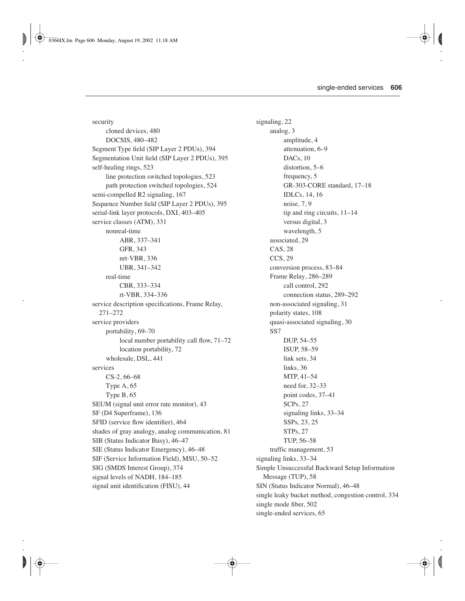security cloned devices, 480 DOCSIS, 480–482 Segment Type field (SIP Layer 2 PDUs), 394 Segmentation Unit field (SIP Layer 2 PDUs), 395 self-healing rings, 523 line protection switched topologies, 523 path protection switched topologies, 524 semi-compelled R2 signaling, 167 Sequence Number field (SIP Layer 2 PDUs), 395 serial-link layer protocols, DXI, 403–405 service classes (ATM), 331 nonreal-time ABR, 337–341 GFR, 343 nrt-VBR, 336 UBR, 341–342 real-time CBR, 333–334 rt-VBR, 334–336 service description specifications, Frame Relay, 271–272 service providers portability, 69–70 local number portability call flow, 71–72 location portability, 72 wholesale, DSL, 441 services CS-2, 66–68 Type A, 65 Type B, 65 SEUM (signal unit error rate monitor), 43 SF (D4 Superframe), 136 SFID (service flow identifier), 464 shades of gray analogy, analog communication, 81 SIB (Status Indicator Busy), 46–47 SIE (Status Indicator Emergency), 46–48 SIF (Service Information Field), MSU, 50–52 SIG (SMDS Interest Group), 374 signal levels of NADH, 184–185 signal unit identification (FISU), 44

signaling, 22 analog, 3 amplitude, 4 attenuation, 6–9 DACs, 10 distortion, 5–6 frequency, 5 GR-303-CORE standard, 17–18 IDLCs, 14, 16 noise, 7, 9 tip and ring circuits, 11–14 versus digital, 3 wavelength, 5 associated, 29 CAS, 28 CCS, 29 conversion process, 83–84 Frame Relay, 286–289 call control, 292 connection status, 289–292 non-associated signaling, 31 polarity states, 108 quasi-associated signaling, 30 SS7 DUP, 54–55 ISUP, 58–59 link sets, 34 links, 36 MTP, 41–54 need for, 32–33 point codes, 37–41 SCPs, 27 signaling links, 33–34 SSPs, 23, 25 STPs, 27 TUP, 56–58 traffic management, 53 signaling links, 33–34 Simple Unsuccessful Backward Setup Information Message (TUP), 58 SIN (Status Indicator Normal), 46–48 single leaky bucket method, congestion control, 334 single mode fiber, 502 single-ended services, 65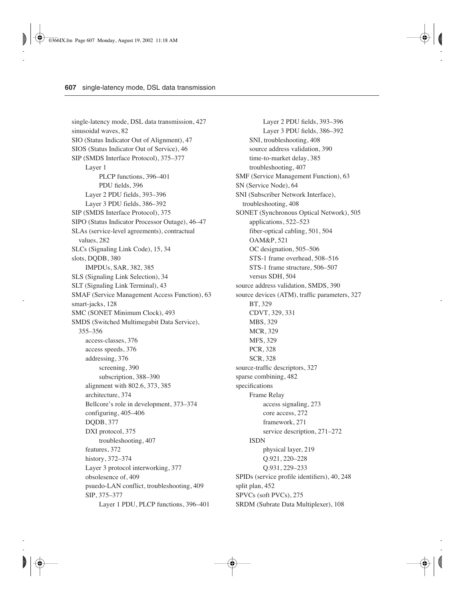single-latency mode, DSL data transmission, 427 sinusoidal waves, 82 SIO (Status Indicator Out of Alignment), 47 SIOS (Status Indicator Out of Service), 46 SIP (SMDS Interface Protocol), 375–377 Layer 1 PLCP functions, 396–401 PDU fields, 396 Layer 2 PDU fields, 393–396 Layer 3 PDU fields, 386–392 SIP (SMDS Interface Protocol), 375 SIPO (Status Indicator Processor Outage), 46–47 SLAs (service-level agreements), contractual values, 282 SLCs (Signaling Link Code), 15, 34 slots, DQDB, 380 IMPDUs, SAR, 382, 385 SLS (Signaling Link Selection), 34 SLT (Signaling Link Terminal), 43 SMAF (Service Management Access Function), 63 smart-jacks, 128 SMC (SONET Minimum Clock), 493 SMDS (Switched Multimegabit Data Service), 355–356 access-classes, 376 access speeds, 376 addressing, 376 screening, 390 subscription, 388–390 alignment with 802.6, 373, 385 architecture, 374 Bellcore's role in development, 373–374 configuring, 405–406 DQDB, 377 DXI protocol, 375 troubleshooting, 407 features, 372 history, 372–374 Layer 3 protocol interworking, 377 obsolesence of, 409 psuedo-LAN conflict, troubleshooting, 409 SIP, 375–377 Layer 1 PDU, PLCP functions, 396–401

Layer 2 PDU fields, 393–396 Layer 3 PDU fields, 386–392 SNI, troubleshooting, 408 source address validation, 390 time-to-market delay, 385 troubleshooting, 407 SMF (Service Management Function), 63 SN (Service Node), 64 SNI (Subscriber Network Interface), troubleshooting, 408 SONET (Synchronous Optical Network), 505 applications, 522–523 fiber-optical cabling, 501, 504 OAM&P, 521 OC designation, 505–506 STS-1 frame overhead, 508–516 STS-1 frame structure, 506–507 versus SDH, 504 source address validation, SMDS, 390 source devices (ATM), traffic parameters, 327 BT, 329 CDVT, 329, 331 MBS, 329 MCR, 329 MFS, 329 PCR, 328 SCR, 328 source-traffic descriptors, 327 sparse combining, 482 specifications Frame Relay access signaling, 273 core access, 272 framework, 271 service description, 271–272 ISDN physical layer, 219 Q.921, 220–228 Q.931, 229–233 SPIDs (service profile identifiers), 40, 248 split plan, 452 SPVCs (soft PVCs), 275 SRDM (Subrate Data Multiplexer), 108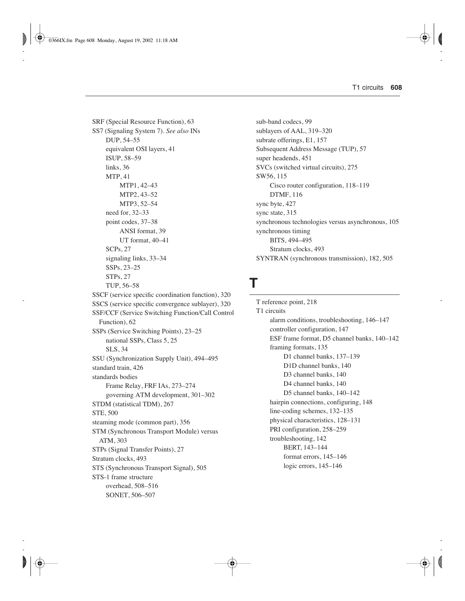SRF (Special Resource Function), 63 SS7 (Signaling System 7). *See also* INs DUP, 54–55 equivalent OSI layers, 41 ISUP, 58–59 links, 36 MTP, 41 MTP1, 42–43 MTP2, 43–52 MTP3, 52–54 need for, 32–33 point codes, 37–38 ANSI format, 39 UT format, 40–41 SCPs, 27 signaling links, 33–34 SSPs, 23–25 STPs, 27 TUP, 56–58 SSCF (service specific coordination function), 320 SSCS (service specific convergence sublayer), 320 SSF/CCF (Service Switching Function/Call Control Function), 62 SSPs (Service Switching Points), 23–25 national SSPs, Class 5, 25 SLS, 34 SSU (Synchronization Supply Unit), 494–495 standard train, 426 standards bodies Frame Relay, FRF IAs, 273–274 governing ATM development, 301–302 STDM (statistical TDM), 267 STE, 500 steaming mode (common part), 356 STM (Synchronous Transport Module) versus ATM, 303 STPs (Signal Transfer Points), 27 Stratum clocks, 493 STS (Synchronous Transport Signal), 505 STS-1 frame structure overhead, 508–516 SONET, 506–507

sub-band codecs, 99 sublayers of AAL, 319–320 subrate offerings, E1, 157 Subsequent Address Message (TUP), 57 super headends, 451 SVCs (switched virtual circuits), 275 SW56, 115 Cisco router configuration, 118–119 DTMF, 116 sync byte, 427 sync state, 315 synchronous technologies versus asynchronous, 105 synchronous timing BITS, 494–495 Stratum clocks, 493 SYNTRAN (synchronous transmission), 182, 505

## **T**

T reference point, 218 T1 circuits alarm conditions, troubleshooting, 146–147 controller configuration, 147 ESF frame format, D5 channel banks, 140–142 framing formats, 135 D1 channel banks, 137–139 D1D channel banks, 140 D3 channel banks, 140 D4 channel banks, 140 D5 channel banks, 140–142 hairpin connections, configuring, 148 line-coding schemes, 132–135 physical characteristics, 128–131 PRI configuration, 258–259 troubleshooting, 142 BERT, 143–144 format errors, 145–146 logic errors, 145–146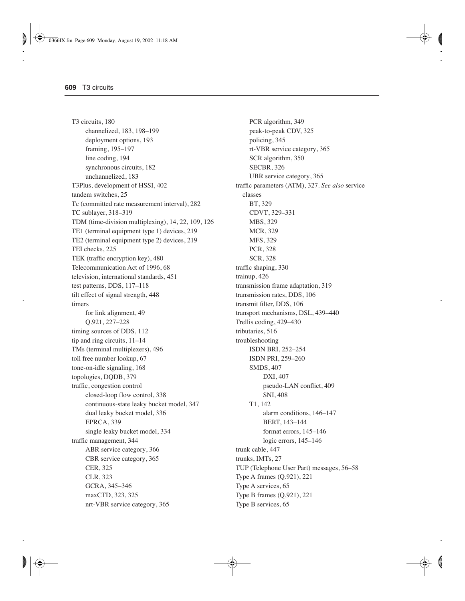T3 circuits, 180 channelized, 183, 198–199 deployment options, 193 framing, 195–197 line coding, 194 synchronous circuits, 182 unchannelized, 183 T3Plus, development of HSSI, 402 tandem switches, 25 Tc (committed rate measurement interval), 282 TC sublayer, 318–319 TDM (time-division multiplexing), 14, 22, 109, 126 TE1 (terminal equipment type 1) devices, 219 TE2 (terminal equipment type 2) devices, 219 TEI checks, 225 TEK (traffic encryption key), 480 Telecommunication Act of 1996, 68 television, international standards, 451 test patterns, DDS, 117–118 tilt effect of signal strength, 448 timers for link alignment, 49 Q.921, 227–228 timing sources of DDS, 112 tip and ring circuits, 11–14 TMs (terminal multiplexers), 496 toll free number lookup, 67 tone-on-idle signaling, 168 topologies, DQDB, 379 traffic, congestion control closed-loop flow control, 338 continuous-state leaky bucket model, 347 dual leaky bucket model, 336 EPRCA, 339 single leaky bucket model, 334 traffic management, 344 ABR service category, 366 CBR service category, 365 CER, 325 CLR, 323 GCRA, 345–346 maxCTD, 323, 325 nrt-VBR service category, 365

PCR algorithm, 349 peak-to-peak CDV, 325 policing, 345 rt-VBR service category, 365 SCR algorithm, 350 SECBR, 326 UBR service category, 365 traffic parameters (ATM), 327. *See also* service classes BT, 329 CDVT, 329–331 MBS, 329 MCR, 329 MFS, 329 PCR, 328 SCR, 328 traffic shaping, 330 trainup, 426 transmission frame adaptation, 319 transmission rates, DDS, 106 transmit filter, DDS, 106 transport mechanisms, DSL, 439–440 Trellis coding, 429–430 tributaries, 516 troubleshooting ISDN BRI, 252–254 ISDN PRI, 259–260 SMDS, 407 DXI, 407 pseudo-LAN conflict, 409 SNI, 408 T1, 142 alarm conditions, 146–147 BERT, 143–144 format errors, 145–146 logic errors, 145–146 trunk cable, 447 trunks, IMTs, 27 TUP (Telephone User Part) messages, 56–58 Type A frames (Q.921), 221 Type A services, 65 Type B frames (Q.921), 221 Type B services, 65